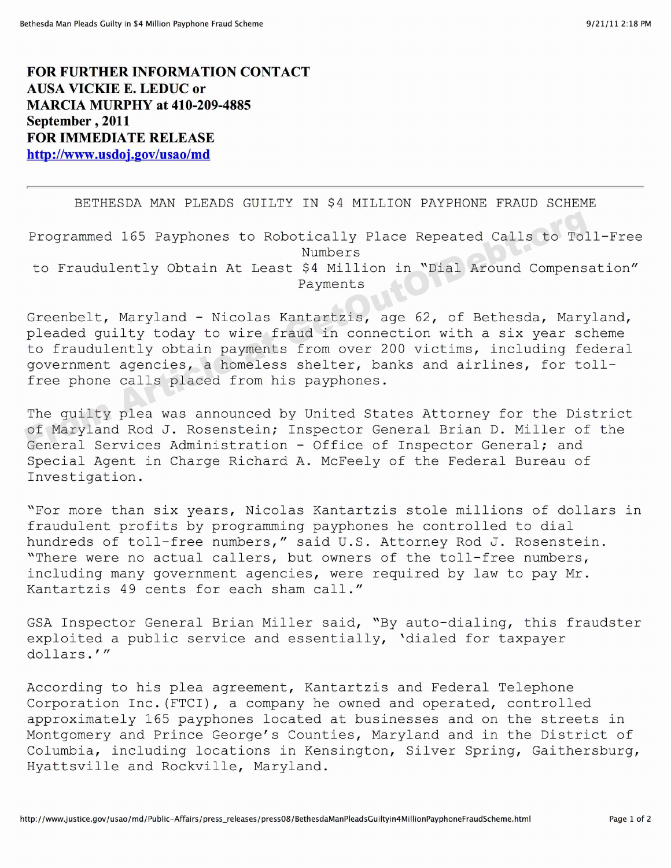**FOR FURTHER INFORMATION CONTACT** AUSA **VICKIE E. LEDUC** or **MARCIA MURPHY at** 410-209-4885 September, 2011 **FOR IMMEDIATE RELEASE** http://www.usdoj.gov/usao/md

## BETHESDA MAN PLEADS GUILTY IN \$4 MILLION PAYPHONE FRAUD SCHEME

Programmed 165 Payphones to Robotically Place Repeated Calls to Toll-Free Numbers to Fraudulently Obtain At Least \$4 Million in "Dial Around Compensation" Payments

Greenbelt, Maryland — Nicolas Kantartzis, age 62, of Bethesda, Maryland, pleaded guilty today to wire fraud in connection with a six year scheme to fraudulently obtain payments from over 200 victims, including federal government agencies, a homeless shelter, banks and airlines, for toll free phone calls placed from his payphones. Programmed 165 Payphones to Robotically Place Repeated Calls to Tol<br>to Fraudulently Obtain At Least \$4 Million in "Dial Around Compens.<br>Payments<br>Greenbelt, Maryland - Nicolas Kantartzis, age 62, of Bethesda, Mary<br>pleaded g

The quilty plea was announced by United States Attorney for the District of Maryland Rod J. Rosenstein; Inspector General Brian D. Miller of the General Services Administration — Office of Inspector General; and Special Agent in Charge Richard A. McFeely of the Federal Bureau of Investigation.

"For more than six years, Nicolas Kantartzis stole millions of dollars in fraudulent profits by programming payphones he controlled to dial hundreds of toll-free numbers," said U.S. Attorney Rod J. Rosenstein. "There were no actual callers, but owners of the toll-free numbers, including many government agencies, were required by law to pay Mr. Kantartzis 49 cents for each sham call."

GSA Inspector General Brian Miller said, "By auto-dialing, this fraudster exploited a public service and essentially, 'dialed for taxpayer  $d$ ollars.'"

According to his plea agreement, Kantartzis and Federal Telephone Corporation Inc. (FTCI), a company he owned and operated, controlled approximately 165 payphones located at businesses and on the streets in Montgomery and Prince George's Counties, Maryland and in the District of Columbia, including locations in Kensington, Silver Spring, Gaithersburg, Hyattsville and Rockville, Maryland.